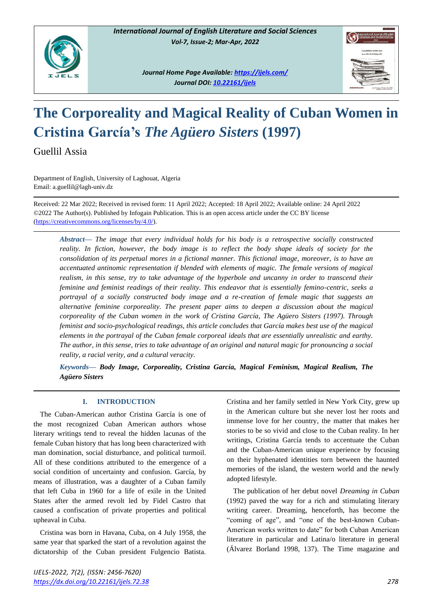

*Journal Home Page Available:<https://ijels.com/> Journal DOI: 10.22161/ijels*



# **The Corporeality and Magical Reality of Cuban Women in Cristina García's** *The Agüero Sisters* **(1997)**

Guellil Assia

Department of English, University of Laghouat, Algeria Email: a.guellil@lagh-univ.dz

Received: 22 Mar 2022; Received in revised form: 11 April 2022; Accepted: 18 April 2022; Available online: 24 April 2022 ©2022 The Author(s). Published by Infogain Publication. This is an open access article under the CC BY license [\(https://creativecommons.org/licenses/by/4.0/\)](https://creativecommons.org/licenses/by/4.0/).

*Abstract***—** *The image that every individual holds for his body is a retrospective socially constructed reality. In fiction, however, the body image is to reflect the body shape ideals of society for the consolidation of its perpetual mores in a fictional manner. This fictional image, moreover, is to have an accentuated antinomic representation if blended with elements of magic. The female versions of magical realism, in this sense, try to take advantage of the hyperbole and uncanny in order to transcend their feminine and feminist readings of their reality. This endeavor that is essentially femino-centric, seeks a portrayal of a socially constructed body image and a re-creation of female magic that suggests an alternative feminine corporeality. The present paper aims to deepen a discussion about the magical corporeality of the Cuban women in the work of Cristina García, The Agüero Sisters (1997). Through feminist and socio-psychological readings, this article concludes that García makes best use of the magical elements in the portrayal of the Cuban female corporeal ideals that are essentially unrealistic and earthy. The author, in this sense, tries to take advantage of an original and natural magic for pronouncing a social reality, a racial verity, and a cultural veracity.*

*Keywords***—** *Body Image, Corporeality, Cristina García, Magical Feminism, Magical Realism, The Agüero Sisters* 

# **I. INTRODUCTION**

The Cuban-American author Cristina García is one of the most recognized Cuban American authors whose literary writings tend to reveal the hidden lacunas of the female Cuban history that has long been characterized with man domination, social disturbance, and political turmoil. All of these conditions attributed to the emergence of a social condition of uncertainty and confusion. García, by means of illustration, was a daughter of a Cuban family that left Cuba in 1960 for a life of exile in the United States after the armed revolt led by Fidel Castro that caused a confiscation of private properties and political upheaval in Cuba.

Cristina was born in Havana, Cuba, on 4 July 1958, the same year that sparked the start of a revolution against the dictatorship of the Cuban president Fulgencio Batista. Cristina and her family settled in New York City, grew up in the American culture but she never lost her roots and immense love for her country, the matter that makes her stories to be so vivid and close to the Cuban reality. In her writings, Cristina García tends to accentuate the Cuban and the Cuban-American unique experience by focusing on their hyphenated identities torn between the haunted memories of the island, the western world and the newly adopted lifestyle.

The publication of her debut novel *Dreaming in Cuban* (1992) paved the way for a rich and stimulating literary writing career. Dreaming, henceforth, has become the "coming of age", and "one of the best-known Cuban-American works written to date" for both Cuban American literature in particular and Latina/o literature in general (Álvarez Borland 1998, 137). The Time magazine and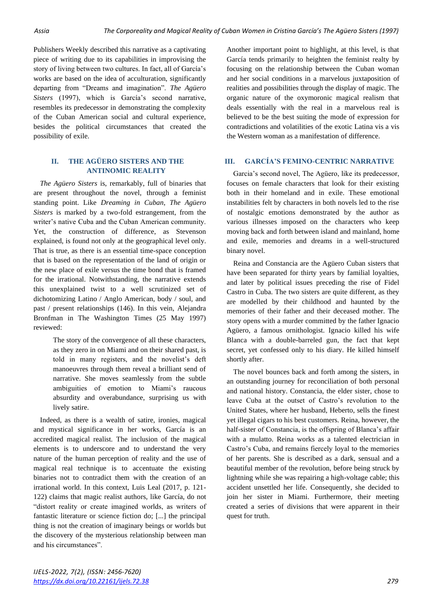Publishers Weekly described this narrative as a captivating piece of writing due to its capabilities in improvising the story of living between two cultures. In fact, all of García's works are based on the idea of acculturation, significantly departing from "Dreams and imagination". *The Agüero Sisters* (1997), which is García's second narrative, resembles its predecessor in demonstrating the complexity of the Cuban American social and cultural experience, besides the political circumstances that created the possibility of exile.

## **II. THE AGÜERO SISTERS AND THE ANTINOMIC REALITY**

*The Agüero Sisters* is, remarkably, full of binaries that are present throughout the novel, through a feminist standing point. Like *Dreaming in Cuban*, *The Agüero Sisters* is marked by a two-fold estrangement, from the writer's native Cuba and the Cuban American community. Yet, the construction of difference, as Stevenson explained, is found not only at the geographical level only. That is true, as there is an essential time-space conception that is based on the representation of the land of origin or the new place of exile versus the time bond that is framed for the irrational. Notwithstanding, the narrative extends this unexplained twist to a well scrutinized set of dichotomizing Latino / Anglo American, body / soul, and past / present relationships (146). In this vein, Alejandra Bronfman in The Washington Times (25 May 1997) reviewed:

> The story of the convergence of all these characters, as they zero in on Miami and on their shared past, is told in many registers, and the novelist's deft manoeuvres through them reveal a brilliant send of narrative. She moves seamlessly from the subtle ambiguities of emotion to Miami's raucous absurdity and overabundance, surprising us with lively satire.

Indeed, as there is a wealth of satire, ironies, magical and mystical significance in her works, García is an accredited magical realist. The inclusion of the magical elements is to underscore and to understand the very nature of the human perception of reality and the use of magical real technique is to accentuate the existing binaries not to contradict them with the creation of an irrational world. In this context, Luis Leal (2017, p. 121- 122) claims that magic realist authors, like García, do not "distort reality or create imagined worlds, as writers of fantastic literature or science fiction do; [...] the principal thing is not the creation of imaginary beings or worlds but the discovery of the mysterious relationship between man and his circumstances".

Another important point to highlight, at this level, is that García tends primarily to heighten the feminist realty by focusing on the relationship between the Cuban woman and her social conditions in a marvelous juxtaposition of realities and possibilities through the display of magic. The organic nature of the oxymoronic magical realism that deals essentially with the real in a marvelous real is believed to be the best suiting the mode of expression for contradictions and volatilities of the exotic Latina vis a vis the Western woman as a manifestation of difference.

## **III. GARCÍA'S FEMINO-CENTRIC NARRATIVE**

Garcia's second novel, The Agüero, like its predecessor, focuses on female characters that look for their existing both in their homeland and in exile. These emotional instabilities felt by characters in both novels led to the rise of nostalgic emotions demonstrated by the author as various illnesses imposed on the characters who keep moving back and forth between island and mainland, home and exile, memories and dreams in a well-structured binary novel.

Reina and Constancia are the Agüero Cuban sisters that have been separated for thirty years by familial loyalties, and later by political issues preceding the rise of Fidel Castro in Cuba. The two sisters are quite different, as they are modelled by their childhood and haunted by the memories of their father and their deceased mother. The story opens with a murder committed by the father Ignacio Agüero, a famous ornithologist. Ignacio killed his wife Blanca with a double-barreled gun, the fact that kept secret, yet confessed only to his diary. He killed himself shortly after.

The novel bounces back and forth among the sisters, in an outstanding journey for reconciliation of both personal and national history. Constancia, the elder sister, chose to leave Cuba at the outset of Castro's revolution to the United States, where her husband, Heberto, sells the finest yet illegal cigars to his best customers. Reina, however, the half-sister of Constancia, is the offspring of Blanca's affair with a mulatto. Reina works as a talented electrician in Castro's Cuba, and remains fiercely loyal to the memories of her parents. She is described as a dark, sensual and a beautiful member of the revolution, before being struck by lightning while she was repairing a high-voltage cable; this accident unsettled her life. Consequently, she decided to join her sister in Miami. Furthermore, their meeting created a series of divisions that were apparent in their quest for truth.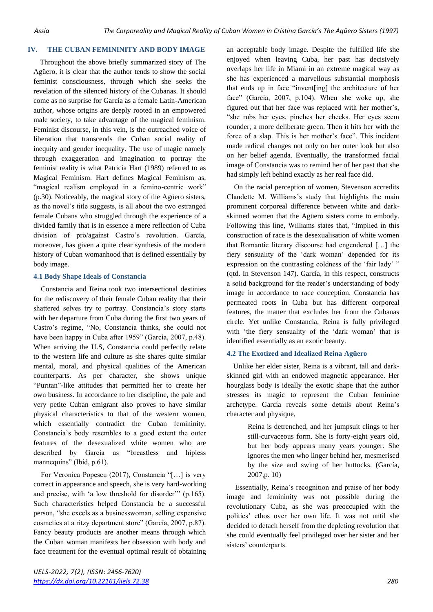## **IV. THE CUBAN FEMININITY AND BODY IMAGE**

Throughout the above briefly summarized story of The Agüero, it is clear that the author tends to show the social feminist consciousness, through which she seeks the revelation of the silenced history of the Cubanas. It should come as no surprise for García as a female Latin-American author, whose origins are deeply rooted in an empowered male society, to take advantage of the magical feminism. Feminist discourse, in this vein, is the outreached voice of liberation that transcends the Cuban social reality of inequity and gender inequality. The use of magic namely through exaggeration and imagination to portray the feminist reality is what Patricia Hart (1989) referred to as Magical Feminism. Hart defines Magical Feminism as, "magical realism employed in a femino-centric work" (p.30). Noticeably, the magical story of the Agüero sisters, as the novel's title suggests, is all about the two estranged female Cubans who struggled through the experience of a divided family that is in essence a mere reflection of Cuba division of pro/against Castro's revolution. García, moreover, has given a quite clear synthesis of the modern history of Cuban womanhood that is defined essentially by body image.

#### **4.1 Body Shape Ideals of Constancia**

Constancia and Reina took two intersectional destinies for the rediscovery of their female Cuban reality that their shattered selves try to portray. Constancia's story starts with her departure from Cuba during the first two years of Castro's regime, "No, Constancia thinks, she could not have been happy in Cuba after 1959" (García, 2007, p.48). When arriving the U.S, Constancia could perfectly relate to the western life and culture as she shares quite similar mental, moral, and physical qualities of the American counterparts. As per character, she shows unique "Puritan"-like attitudes that permitted her to create her own business. In accordance to her discipline, the pale and very petite Cuban emigrant also proves to have similar physical characteristics to that of the western women, which essentially contradict the Cuban femininity. Constancia's body resembles to a good extent the outer features of the desexualized white women who are described by García as "breastless and hipless mannequins" (Ibid, p.61).

For Veronica Popescu (2017), Constancia "[…] is very correct in appearance and speech, she is very hard-working and precise, with 'a low threshold for disorder'" (p.165). Such characteristics helped Constancia be a successful person, "she excels as a businesswoman, selling expensive cosmetics at a ritzy department store" (García, 2007, p.87). Fancy beauty products are another means through which the Cuban woman manifests her obsession with body and face treatment for the eventual optimal result of obtaining an acceptable body image. Despite the fulfilled life she enjoyed when leaving Cuba, her past has decisively overlaps her life in Miami in an extreme magical way as she has experienced a marvellous substantial morphosis that ends up in face "invent[ing] the architecture of her face" (García, 2007, p.104). When she woke up, she figured out that her face was replaced with her mother's, "she rubs her eyes, pinches her cheeks. Her eyes seem rounder, a more deliberate green. Then it hits her with the force of a slap. This is her mother's face". This incident made radical changes not only on her outer look but also on her belief agenda. Eventually, the transformed facial image of Constancia was to remind her of her past that she had simply left behind exactly as her real face did.

On the racial perception of women, Stevenson accredits Claudette M. Williams's study that highlights the main prominent corporeal difference between white and darkskinned women that the Agüero sisters come to embody. Following this line, Williams states that, "Implied in this construction of race is the desexualisation of white women that Romantic literary discourse had engendered […] the fiery sensuality of the 'dark woman' depended for its expression on the contrasting coldness of the 'fair lady' " (qtd. In Stevenson 147). García, in this respect, constructs a solid background for the reader's understanding of body image in accordance to race conception. Constancia has permeated roots in Cuba but has different corporeal features, the matter that excludes her from the Cubanas circle. Yet unlike Constancia, Reina is fully privileged with 'the fiery sensuality of the 'dark woman' that is identified essentially as an exotic beauty.

## **4.2 The Exotized and Idealized Reina Agüero**

Unlike her elder sister, Reina is a vibrant, tall and darkskinned girl with an endowed magnetic appearance. Her hourglass body is ideally the exotic shape that the author stresses its magic to represent the Cuban feminine archetype. García reveals some details about Reina's character and physique,

> Reina is detrenched, and her jumpsuit clings to her still-curvaceous form. She is forty-eight years old, but her body appears many years younger. She ignores the men who linger behind her, mesmerised by the size and swing of her buttocks. (García, 2007,p. 10)

Essentially, Reina's recognition and praise of her body image and femininity was not possible during the revolutionary Cuba, as she was preoccupied with the politics' ethos over her own life. It was not until she decided to detach herself from the depleting revolution that she could eventually feel privileged over her sister and her sisters' counterparts.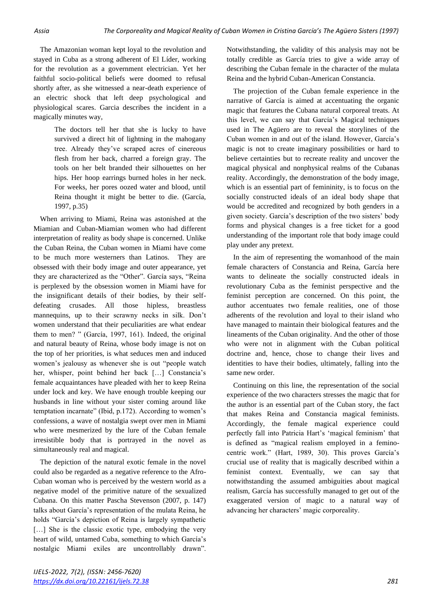The Amazonian woman kept loyal to the revolution and stayed in Cuba as a strong adherent of El Líder, working for the revolution as a government electrician. Yet her faithful socio-political beliefs were doomed to refusal shortly after, as she witnessed a near-death experience of an electric shock that left deep psychological and physiological scares. Garcia describes the incident in a magically minutes way,

> The doctors tell her that she is lucky to have survived a direct hit of lightning in the mahogany tree. Already they've scraped acres of cinereous flesh from her back, charred a foreign gray. The tools on her belt branded their silhouettes on her hips. Her hoop earrings burned holes in her neck. For weeks, her pores oozed water and blood, until Reina thought it might be better to die. (García, 1997, p.35)

When arriving to Miami, Reina was astonished at the Miamian and Cuban-Miamian women who had different interpretation of reality as body shape is concerned. Unlike the Cuban Reina, the Cuban women in Miami have come to be much more westerners than Latinos. They are obsessed with their body image and outer appearance, yet they are characterized as the "Other". García says, "Reina is perplexed by the obsession women in Miami have for the insignificant details of their bodies, by their selfdefeating crusades. All those hipless, breastless mannequins, up to their scrawny necks in silk. Don't women understand that their peculiarities are what endear them to men? " (García, 1997, 161). Indeed, the original and natural beauty of Reina, whose body image is not on the top of her priorities, is what seduces men and induced women's jealousy as whenever she is out "people watch her, whisper, point behind her back […] Constancia's female acquaintances have pleaded with her to keep Reina under lock and key. We have enough trouble keeping our husbands in line without your sister coming around like temptation incarnate" (Ibid, p.172). According to women's confessions, a wave of nostalgia swept over men in Miami who were mesmerized by the lure of the Cuban female irresistible body that is portrayed in the novel as simultaneously real and magical.

The depiction of the natural exotic female in the novel could also be regarded as a negative reference to the Afro-Cuban woman who is perceived by the western world as a negative model of the primitive nature of the sexualized Cubana. On this matter Pascha Stevenson (2007, p. 147) talks about García's representation of the mulata Reina, he holds "García's depiction of Reina is largely sympathetic [...] She is the classic exotic type, embodying the very heart of wild, untamed Cuba, something to which García's nostalgic Miami exiles are uncontrollably drawn".

Notwithstanding, the validity of this analysis may not be totally credible as García tries to give a wide array of describing the Cuban female in the character of the mulata Reina and the hybrid Cuban-American Constancia.

The projection of the Cuban female experience in the narrative of García is aimed at accentuating the organic magic that features the Cubana natural corporeal treats. At this level, we can say that García's Magical techniques used in The Agüero are to reveal the storylines of the Cuban women in and out of the island. However, García's magic is not to create imaginary possibilities or hard to believe certainties but to recreate reality and uncover the magical physical and nonphysical realms of the Cubanas reality. Accordingly, the demonstration of the body image, which is an essential part of femininity, is to focus on the socially constructed ideals of an ideal body shape that would be accredited and recognized by both genders in a given society. García's description of the two sisters' body forms and physical changes is a free ticket for a good understanding of the important role that body image could play under any pretext.

In the aim of representing the womanhood of the main female characters of Constancia and Reina, García here wants to delineate the socially constructed ideals in revolutionary Cuba as the feminist perspective and the feminist perception are concerned. On this point, the author accentuates two female realities, one of those adherents of the revolution and loyal to their island who have managed to maintain their biological features and the lineaments of the Cuban originality. And the other of those who were not in alignment with the Cuban political doctrine and, hence, chose to change their lives and identities to have their bodies, ultimately, falling into the same new order.

Continuing on this line, the representation of the social experience of the two characters stresses the magic that for the author is an essential part of the Cuban story, the fact that makes Reina and Constancia magical feminists. Accordingly, the female magical experience could perfectly fall into Patricia Hart's 'magical feminism' that is defined as "magical realism employed in a feminocentric work." (Hart, 1989, 30). This proves García's crucial use of reality that is magically described within a feminist context. Eventually, we can say that notwithstanding the assumed ambiguities about magical realism, García has successfully managed to get out of the exaggerated version of magic to a natural way of advancing her characters' magic corporeality.